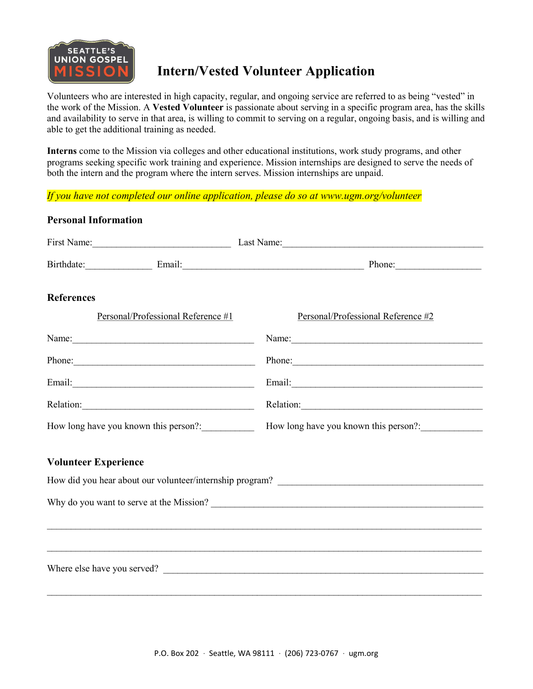

## Intern/Vested Volunteer Application

Volunteers who are interested in high capacity, regular, and ongoing service are referred to as being "vested" in the work of the Mission. A Vested Volunteer is passionate about serving in a specific program area, has the skills and availability to serve in that area, is willing to commit to serving on a regular, ongoing basis, and is willing and able to get the additional training as needed.

Interns come to the Mission via colleges and other educational institutions, work study programs, and other programs seeking specific work training and experience. Mission internships are designed to serve the needs of both the intern and the program where the intern serves. Mission internships are unpaid.

If you have not completed our online application, please do so at www.ugm.org/volunteer

| First Name: Last Name: Last Name: Last Name:                                                                                                                                                                                   |                                                                                                                                                                                                                               |
|--------------------------------------------------------------------------------------------------------------------------------------------------------------------------------------------------------------------------------|-------------------------------------------------------------------------------------------------------------------------------------------------------------------------------------------------------------------------------|
| Birthdate: Email: Email: Phone: Phone:                                                                                                                                                                                         |                                                                                                                                                                                                                               |
| <b>References</b>                                                                                                                                                                                                              |                                                                                                                                                                                                                               |
| Personal/Professional Reference #1                                                                                                                                                                                             | Personal/Professional Reference #2                                                                                                                                                                                            |
|                                                                                                                                                                                                                                | Name:                                                                                                                                                                                                                         |
| Phone: 2008 Phone: 2008 Phone: 2008 Phone: 2008 Phone: 2008 Phone: 2008 Phone: 2008 Phone: 2008 Phone: 2008 Phone: 2008 Phone: 2008 Phone: 2008 Phone: 2008 Phone: 2008 Phone: 2008 Phone: 2008 Phone: 2008 Phone: 2008 Phone: | Phone: 2008. Contract and the contract of the contract of the contract of the contract of the contract of the contract of the contract of the contract of the contract of the contract of the contract of the contract of the |
|                                                                                                                                                                                                                                |                                                                                                                                                                                                                               |
|                                                                                                                                                                                                                                | Relation:                                                                                                                                                                                                                     |
| How long have you known this person?: How long have you known this person?: ________________________                                                                                                                           |                                                                                                                                                                                                                               |
| <b>Volunteer Experience</b>                                                                                                                                                                                                    |                                                                                                                                                                                                                               |
|                                                                                                                                                                                                                                |                                                                                                                                                                                                                               |
|                                                                                                                                                                                                                                |                                                                                                                                                                                                                               |
|                                                                                                                                                                                                                                | ,我们也不能在这里的时候,我们也不能在这里的时候,我们也不能不能不能不能不能不能不能不能不能不能不能不能不能不能不能。""我们的是我们的,我们也不能不能不能不能                                                                                                                                              |
|                                                                                                                                                                                                                                |                                                                                                                                                                                                                               |
| Where else have you served?                                                                                                                                                                                                    |                                                                                                                                                                                                                               |
|                                                                                                                                                                                                                                |                                                                                                                                                                                                                               |